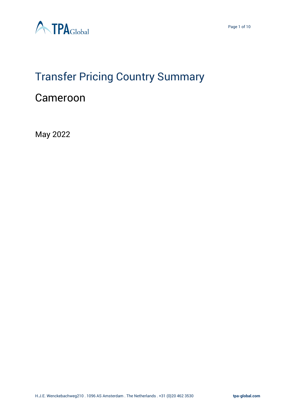

# Transfer Pricing Country Summary

# Cameroon

May 2022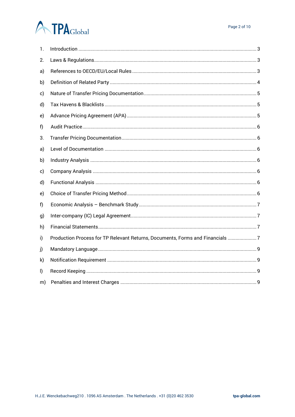# **ATPA**Global

| 1. |                                                                               |
|----|-------------------------------------------------------------------------------|
| 2. |                                                                               |
| a) |                                                                               |
| b) |                                                                               |
| c) |                                                                               |
| d) |                                                                               |
| e) |                                                                               |
| f) |                                                                               |
| 3. |                                                                               |
| a) |                                                                               |
| b) |                                                                               |
| c) |                                                                               |
| d) |                                                                               |
| e) |                                                                               |
| f) |                                                                               |
| g) |                                                                               |
| h) |                                                                               |
| i) | Production Process for TP Relevant Returns, Documents, Forms and Financials 7 |
| j) |                                                                               |
| k) |                                                                               |
| I) |                                                                               |
| m) |                                                                               |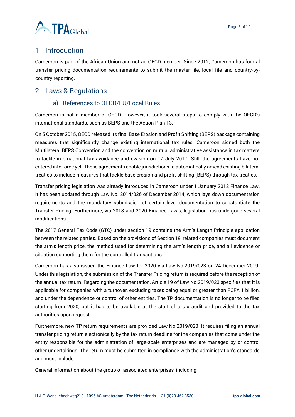

# <span id="page-2-0"></span>1. Introduction

Cameroon is part of the African Union and not an OECD member. Since 2012, Cameroon has formal transfer pricing documentation requirements to submit the master file, local file and country-bycountry reporting.

## <span id="page-2-2"></span><span id="page-2-1"></span>2. Laws & Regulations

#### a) References to OECD/EU/Local Rules

Cameroon is not a member of OECD. However, it took several steps to comply with the OECD's international standards, such as BEPS and the Action Plan 13.

On 5 October 2015, OECD released its final Base Erosion and Profit Shifting (BEPS) package containing measures that significantly change existing international tax rules. Cameroon signed both the Multilateral BEPS Convention and the convention on mutual administrative assistance in tax matters to tackle international tax avoidance and evasion on 17 July 2017. Still, the agreements have not entered into force yet. These agreements enable jurisdictions to automatically amend existing bilateral treaties to include measures that tackle base erosion and profit shifting (BEPS) through tax treaties.

Transfer pricing legislation was already introduced in Cameroon under 1 January 2012 Finance Law. It has been updated through Law No. 2014/026 of December 2014, which lays down documentation requirements and the mandatory submission of certain level documentation to substantiate the Transfer Pricing. Furthermore, via 2018 and 2020 Finance Law's, legislation has undergone several modifications.

The 2017 General Tax Code (GTC) under section 19 contains the Arm's Length Principle application between the related parties. Based on the provisions of Section 19, related companies must document the arm's length price, the method used for determining the arm's length price, and all evidence or situation supporting them for the controlled transactions.

Cameroon has also issued the Finance Law for 2020 via Law No.2019/023 on 24 December 2019. Under this legislation, the submission of the Transfer Pricing return is required before the reception of the annual tax return. Regarding the documentation, Article 19 of Law No.2019/023 specifies that it is applicable for companies with a turnover, excluding taxes being equal or greater than FCFA 1 billion, and under the dependence or control of other entities. The TP documentation is no longer to be filed starting from 2020, but it has to be available at the start of a tax audit and provided to the tax authorities upon request.

Furthermore, new TP return requirements are provided Law No.2019/023. It requires filing an annual transfer pricing return electronically by the tax return deadline for the companies that come under the entity responsible for the administration of large-scale enterprises and are managed by or control other undertakings. The return must be submitted in compliance with the administration's standards and must include:

General information about the group of associated enterprises, including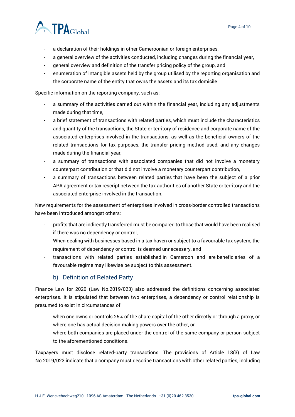

- a declaration of their holdings in other Cameroonian or foreign enterprises,
- a general overview of the activities conducted, including changes during the financial year,
- general overview and definition of the transfer pricing policy of the group, and
- enumeration of intangible assets held by the group utilised by the reporting organisation and the corporate name of the entity that owns the assets and its tax domicile.

Specific information on the reporting company, such as:

- a summary of the activities carried out within the financial year, including any adjustments made during that time,
- a brief statement of transactions with related parties, which must include the characteristics and quantity of the transactions, the State or territory of residence and corporate name of the associated enterprises involved in the transactions, as well as the beneficial owners of the related transactions for tax purposes, the transfer pricing method used, and any changes made during the financial year,
- a summary of transactions with associated companies that did not involve a monetary counterpart contribution or that did not involve a monetary counterpart contribution,
- a summary of transactions between related parties that have been the subject of a prior APA agreement or tax rescript between the tax authorities of another State or territory and the associated enterprise involved in the transaction.

New requirements for the assessment of enterprises involved in cross-border controlled transactions have been introduced amongst others:

- profits that are indirectly transferred must be compared to those that would have been realised if there was no dependency or control,
- When dealing with businesses based in a tax haven or subject to a favourable tax system, the requirement of dependency or control is deemed unnecessary, and
- transactions with related parties established in Cameroon and are beneficiaries of a favourable regime may likewise be subject to this assessment.

#### b) Definition of Related Party

<span id="page-3-0"></span>Finance Law for 2020 (Law No.2019/023) also addressed the definitions concerning associated enterprises. It is stipulated that between two enterprises, a dependency or control relationship is presumed to exist in circumstances of:

- when one owns or controls 25% of the share capital of the other directly or through a proxy, or where one has actual decision-making powers over the other, or
- where both companies are placed under the control of the same company or person subject to the aforementioned conditions.

Taxpayers must disclose related-party transactions. The provisions of Article 18(3) of Law No.2019/023 indicate that a company must describe transactions with other related parties, including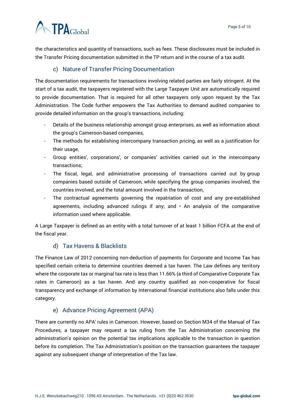# **ATPA**Global

the characteristics and quantity of transactions, such as fees. These disclosures must be included in the Transfer Pricing documentation submitted in the TP return and in the course of a tax audit.

## c) Nature of Transfer Pricing Documentation

<span id="page-4-0"></span>The documentation requirements for transactions involving related parties are fairly stringent. At the start of a tax audit, the taxpayers registered with the Large Taxpayer Unit are automatically required to provide documentation. That is required for all other taxpayers only upon request by the Tax Administration. The Code further empowers the Tax Authorities to demand audited companies to provide detailed information on the group's transactions, including:

- Details of the business relationship amongst group enterprises, as well as information about the group's Cameroon-based companies,
- The methods for establishing intercompany transaction pricing, as well as a justification for their usage,
- Group entities', corporations', or companies' activities carried out in the intercompany transactions;
- The fiscal, legal, and administrative processing of transactions carried out by group companies based outside of Cameroon, while specifying the group companies involved, the countries involved, and the total amount involved in the transaction,
- The contractual agreements governing the repatriation of cost and any pre-established agreements, including advanced rulings if any; and  $\cdot$  An analysis of the comparative information used where applicable.

A Large Taxpayer is defined as an entity with a total turnover of at least 1 billion FCFA at the end of the fiscal year.

## d) Tax Havens & Blacklists

<span id="page-4-1"></span>The Finance Law of 2012 concerning non-deduction of payments for Corporate and Income Tax has specified certain criteria to determine countries deemed a tax haven. The Law defines any territory where the corporate tax or marginal tax rate is less than 11.66% (a third of Comparative Corporate Tax rates in Cameroon) as a tax haven. And any country qualified as non-cooperative for fiscal transparency and exchange of information by International financial institutions also falls under this category.

#### e) Advance Pricing Agreement (APA)

<span id="page-4-2"></span>There are currently no APA' rules in Cameroon. However, based on Section M34 of the Manual of Tax Procedures, a taxpayer may request a tax ruling from the Tax Administration concerning the administration's opinion on the potential tax implications applicable to the transaction in question before its completion. The Tax Administration's position on the transaction guarantees the taxpayer against any subsequent change of interpretation of the Tax law.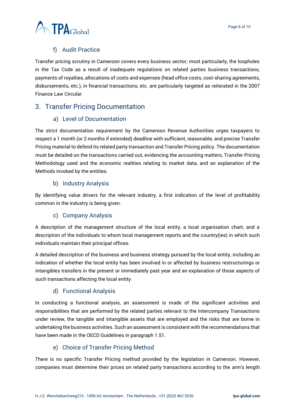### f) Audit Practice

<span id="page-5-0"></span>Transfer pricing scrutiny in Cameroon covers every business sector; most particularly, the loopholes in the Tax Code as a result of inadequate regulations on related parties business transactions, payments of royalties, allocations of costs and expenses (head office costs, cost-sharing agreements, disbursements, etc.), in financial transactions, etc. are particularly targeted as reiterated in the 2007 Finance Law Circular.

# <span id="page-5-2"></span><span id="page-5-1"></span>3. Transfer Pricing Documentation

#### a) Level of Documentation

The strict documentation requirement by the Cameroon Revenue Authorities urges taxpayers to respect a 1 month (or 2 months if extended) deadline with sufficient, reasonable, and precise Transfer Pricing material to defend its related party transaction and Transfer Pricing policy. The documentation must be detailed on the transactions carried out, evidencing the accounting matters, Transfer Pricing Methodology used and the economic realities relating to market data, and an explanation of the Methods invoked by the entities.

#### b) Industry Analysis

<span id="page-5-3"></span>By identifying value drivers for the relevant industry, a first indication of the level of profitability common in the industry is being given.

#### c) Company Analysis

<span id="page-5-4"></span>A description of the management structure of the local entity, a local organisation chart, and a description of the individuals to whom local management reports and the country(ies) in which such individuals maintain their principal offices.

A detailed description of the business and business strategy pursued by the local entity, including an indication of whether the local entity has been involved in or affected by business restructurings or intangibles transfers in the present or immediately past year and an explanation of those aspects of such transactions affecting the local entity.

#### d) Functional Analysis

<span id="page-5-5"></span>In conducting a functional analysis, an assessment is made of the significant activities and responsibilities that are performed by the related parties relevant to the Intercompany Transactions under review, the tangible and intangible assets that are employed and the risks that are borne in undertaking the business activities. Such an assessment is consistent with the recommendations that have been made in the OECD Guidelines in paragraph 1.51.

#### e) Choice of Transfer Pricing Method

<span id="page-5-6"></span>There is no specific Transfer Pricing method provided by the legislation in Cameroon. However, companies must determine their prices on related party transactions according to the arm's length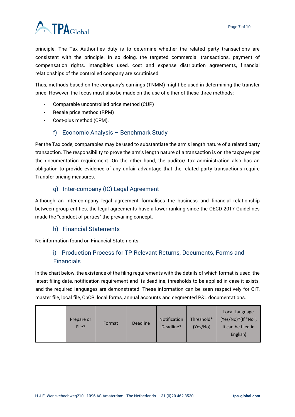

principle. The Tax Authorities duty is to determine whether the related party transactions are consistent with the principle. In so doing, the targeted commercial transactions, payment of compensation rights, intangibles used, cost and expense distribution agreements, financial relationships of the controlled company are scrutinised.

Thus, methods based on the company's earnings (TNMM) might be used in determining the transfer price. However, the focus must also be made on the use of either of these three methods:

- Comparable uncontrolled price method (CUP)
- Resale price method (RPM)
- Cost-plus method (CPM).

#### f) Economic Analysis – Benchmark Study

<span id="page-6-0"></span>Per the Tax code, comparables may be used to substantiate the arm's length nature of a related party transaction. The responsibility to prove the arm's length nature of a transaction is on the taxpayer per the documentation requirement. On the other hand, the auditor/ tax administration also has an obligation to provide evidence of any unfair advantage that the related party transactions require Transfer pricing measures.

#### g) Inter-company (IC) Legal Agreement

<span id="page-6-1"></span>Although an Inter-company legal agreement formalises the business and financial relationship between group entities, the legal agreements have a lower ranking since the OECD 2017 Guidelines made the "conduct of parties" the prevailing concept.

#### h) Financial Statements

<span id="page-6-3"></span><span id="page-6-2"></span>No information found on Financial Statements.

## i) Production Process for TP Relevant Returns, Documents, Forms and Financials

In the chart below, the existence of the filing requirements with the details of which format is used, the latest filing date, notification requirement and its deadline, thresholds to be applied in case it exists, and the required languages are demonstrated. These information can be seen respectively for CIT, master file, local file, CbCR, local forms, annual accounts and segmented P&L documentations.

|  | Prepare or<br>File? | Format | <b>Deadline</b> | Notification<br>Deadline* | Threshold*<br>(Yes/No) | Local Language<br>(Yes/No)*(If "No",<br>it can be filed in<br>English) |
|--|---------------------|--------|-----------------|---------------------------|------------------------|------------------------------------------------------------------------|
|--|---------------------|--------|-----------------|---------------------------|------------------------|------------------------------------------------------------------------|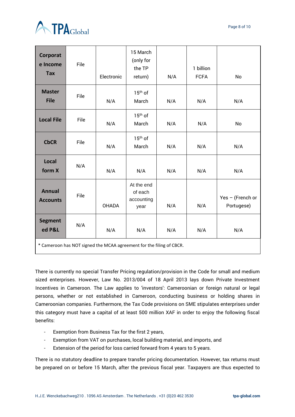

| Corporat<br>e Income<br><b>Tax</b>                                   | File | Electronic   | 15 March<br>(only for<br>the TP<br>return)  | N/A | 1 billion<br><b>FCFA</b> | No                               |  |  |
|----------------------------------------------------------------------|------|--------------|---------------------------------------------|-----|--------------------------|----------------------------------|--|--|
| <b>Master</b><br><b>File</b>                                         | File | N/A          | $15th$ of<br>March                          | N/A | N/A                      | N/A                              |  |  |
| <b>Local File</b>                                                    | File | N/A          | $15th$ of<br>March                          | N/A | N/A                      | No                               |  |  |
| <b>CbCR</b>                                                          | File | N/A          | $15th$ of<br>March                          | N/A | N/A                      | N/A                              |  |  |
| Local<br>form X                                                      | N/A  | N/A          | N/A                                         | N/A | N/A                      | N/A                              |  |  |
| <b>Annual</b><br><b>Accounts</b>                                     | File | <b>OHADA</b> | At the end<br>of each<br>accounting<br>year | N/A | N/A                      | Yes $-$ (French or<br>Portugese) |  |  |
| <b>Segment</b><br>ed P&L                                             | N/A  | N/A          | N/A                                         | N/A | N/A                      | N/A                              |  |  |
| * Cameroon has NOT signed the MCAA agreement for the filing of CBCR. |      |              |                                             |     |                          |                                  |  |  |

There is currently no special Transfer Pricing regulation/provision in the Code for small and medium sized enterprises. However, Law No. 2013/004 of 18 April 2013 lays down Private Investment Incentives in Cameroon. The Law applies to 'investors': Cameroonian or foreign natural or legal persons, whether or not established in Cameroon, conducting business or holding shares in Cameroonian companies. Furthermore, the Tax Code provisions on SME stipulates enterprises under this category must have a capital of at least 500 million XAF in order to enjoy the following fiscal benefits:

- Exemption from Business Tax for the first 2 years,
- Exemption from VAT on purchases, local building material, and imports, and
- Extension of the period for loss carried forward from 4 years to 5 years.

There is no statutory deadline to prepare transfer pricing documentation. However, tax returns must be prepared on or before 15 March, after the previous fiscal year. Taxpayers are thus expected to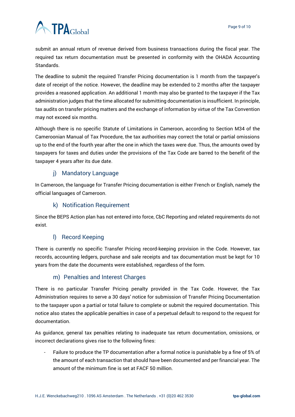# **ATPA**Global

submit an annual return of revenue derived from business transactions during the fiscal year. The required tax return documentation must be presented in conformity with the OHADA Accounting Standards.

The deadline to submit the required Transfer Pricing documentation is 1 month from the taxpayer's date of receipt of the notice. However, the deadline may be extended to 2 months after the taxpayer provides a reasoned application. An additional 1 month may also be granted to the taxpayer if the Tax administration judges that the time allocated for submitting documentation is insufficient. In principle, tax audits on transfer pricing matters and the exchange of information by virtue of the Tax Convention may not exceed six months.

Although there is no specific Statute of Limitations in Cameroon, according to Section M34 of the Cameroonian Manual of Tax Procedure, the tax authorities may correct the total or partial omissions up to the end of the fourth year after the one in which the taxes were due. Thus, the amounts owed by taxpayers for taxes and duties under the provisions of the Tax Code are barred to the benefit of the taxpayer 4 years after its due date.

#### j) Mandatory Language

<span id="page-8-0"></span>In Cameroon, the language for Transfer Pricing documentation is either French or English, namely the official languages of Cameroon.

#### k) Notification Requirement

<span id="page-8-1"></span>Since the BEPS Action plan has not entered into force, CbC Reporting and related requirements do not exist.

#### l) Record Keeping

<span id="page-8-2"></span>There is currently no specific Transfer Pricing record-keeping provision in the Code. However, tax records, accounting ledgers, purchase and sale receipts and tax documentation must be kept for 10 years from the date the documents were established, regardless of the form.

#### m) Penalties and Interest Charges

<span id="page-8-3"></span>There is no particular Transfer Pricing penalty provided in the Tax Code. However, the Tax Administration requires to serve a 30 days' notice for submission of Transfer Pricing Documentation to the taxpayer upon a partial or total failure to complete or submit the required documentation. This notice also states the applicable penalties in case of a perpetual default to respond to the request for documentation.

As guidance, general tax penalties relating to inadequate tax return documentation, omissions, or incorrect declarations gives rise to the following fines:

- Failure to produce the TP documentation after a formal notice is punishable by a fine of 5% of the amount of each transaction that should have been documented and per financial year. The amount of the minimum fine is set at FACF 50 million.